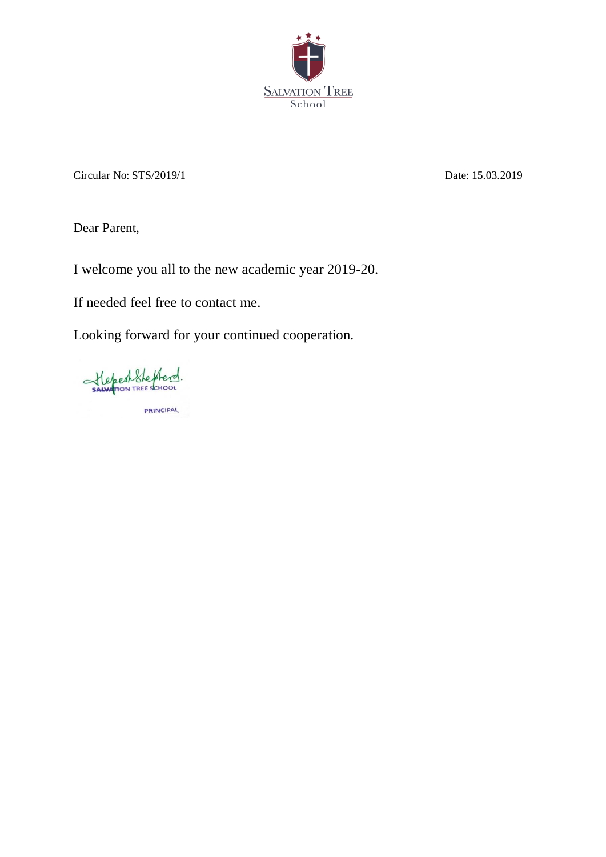

Circular No: STS/2019/1 Date: 15.03.2019

Dear Parent,

I welcome you all to the new academic year 2019-20.

If needed feel free to contact me.

Looking forward for your continued cooperation.

Stepent Stephend. PRINCIPAL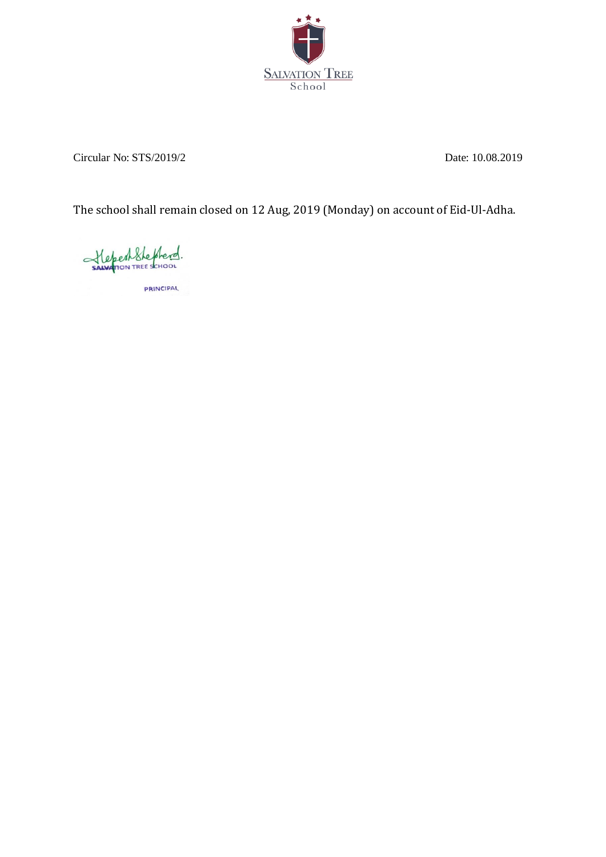

Circular No: STS/2019/2 Date: 10.08.2019

The school shall remain closed on 12 Aug, 2019 (Monday) on account of Eid-Ul-Adha.

Stepenthepherd.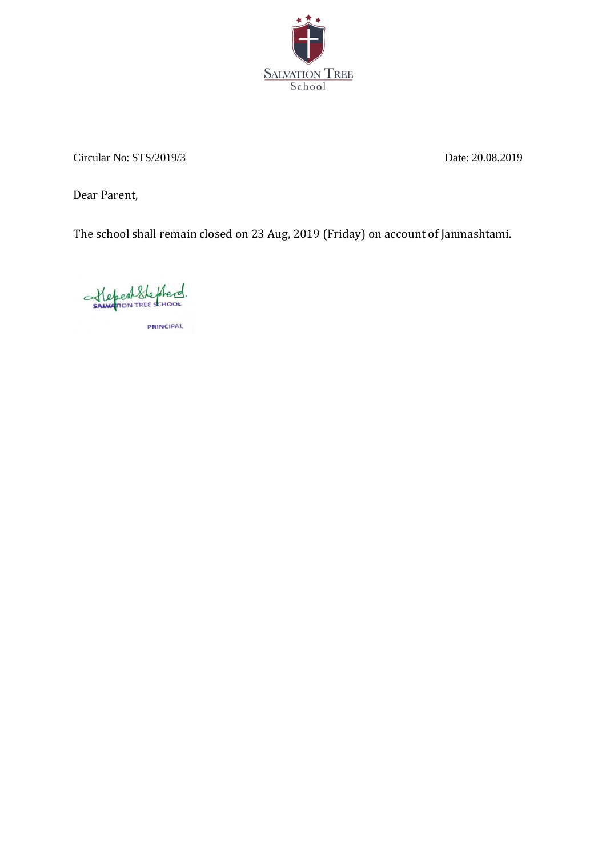

Circular No: STS/2019/3 Date: 20.08.2019

Dear Parent,

The school shall remain closed on 23 Aug, 2019 (Friday) on account of Janmashtami.

Stepenthepherd. **PRINCIPAL**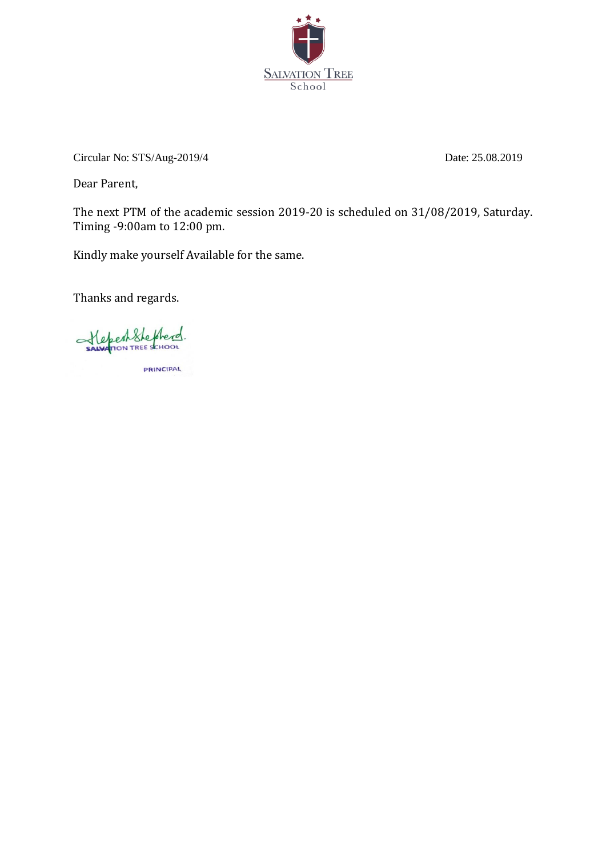

Circular No: STS/Aug-2019/4 Date: 25.08.2019

Dear Parent,

The next PTM of the academic session 2019-20 is scheduled on 31/08/2019, Saturday. Timing -9:00am to 12:00 pm.

Kindly make yourself Available for the same.

Thanks and regards.

StepenShepherd.

**PRINCIPAL**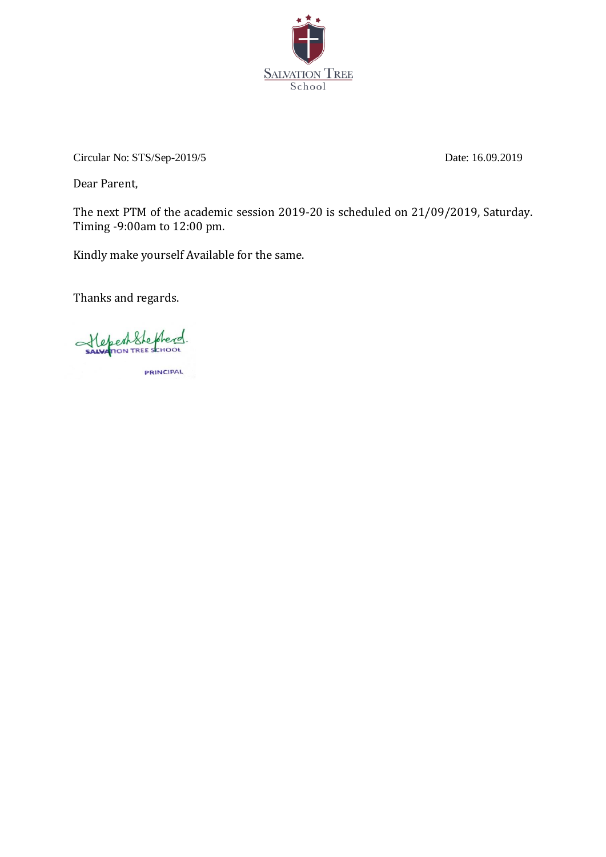

Circular No: STS/Sep-2019/5 Date: 16.09.2019

Dear Parent,

The next PTM of the academic session 2019-20 is scheduled on 21/09/2019, Saturday. Timing -9:00am to 12:00 pm.

Kindly make yourself Available for the same.

Thanks and regards.

Stepenshepherd.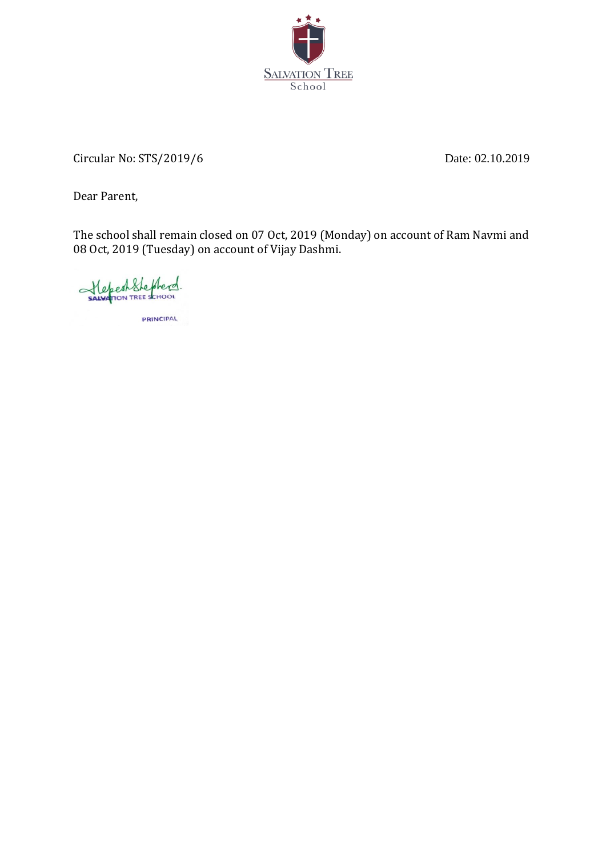

Circular No: STS/2019/6 Date: 02.10.2019

Dear Parent,

The school shall remain closed on 07 Oct, 2019 (Monday) on account of Ram Navmi and 08 Oct, 2019 (Tuesday) on account of Vijay Dashmi.

Helpert Stephend.

**PRINCIPAL**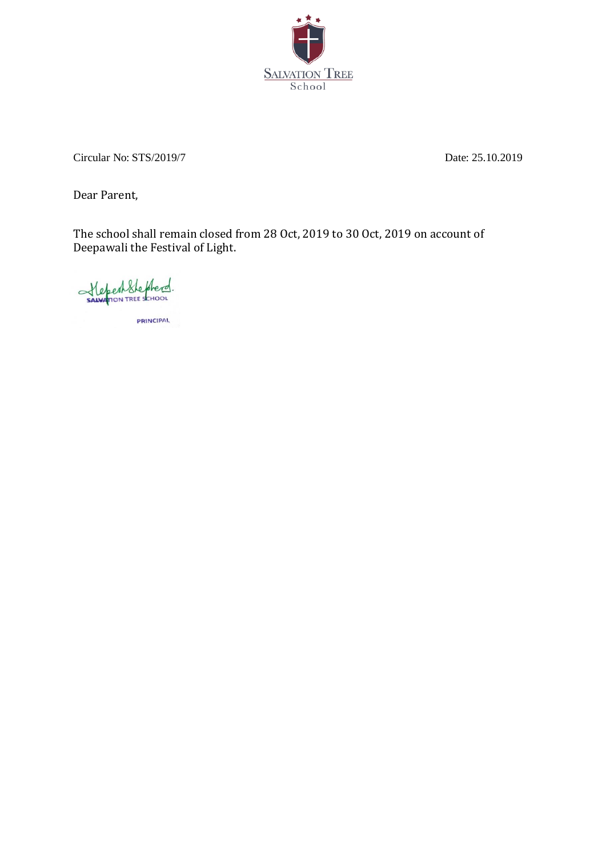

Circular No: STS/2019/7 Date: 25.10.2019

Dear Parent,

The school shall remain closed from 28 Oct, 2019 to 30 Oct, 2019 on account of Deepawali the Festival of Light.

Stepent Shepherd. **PRINCIPAL**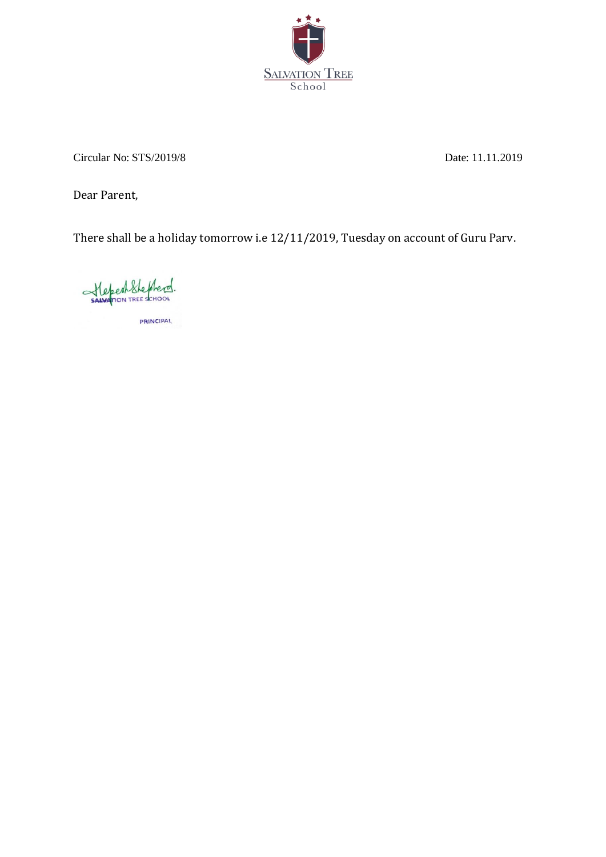

Circular No: STS/2019/8 Date: 11.11.2019

Dear Parent,

There shall be a holiday tomorrow i.e 12/11/2019, Tuesday on account of Guru Parv.

StepenShepherd. **PRINCIPAL**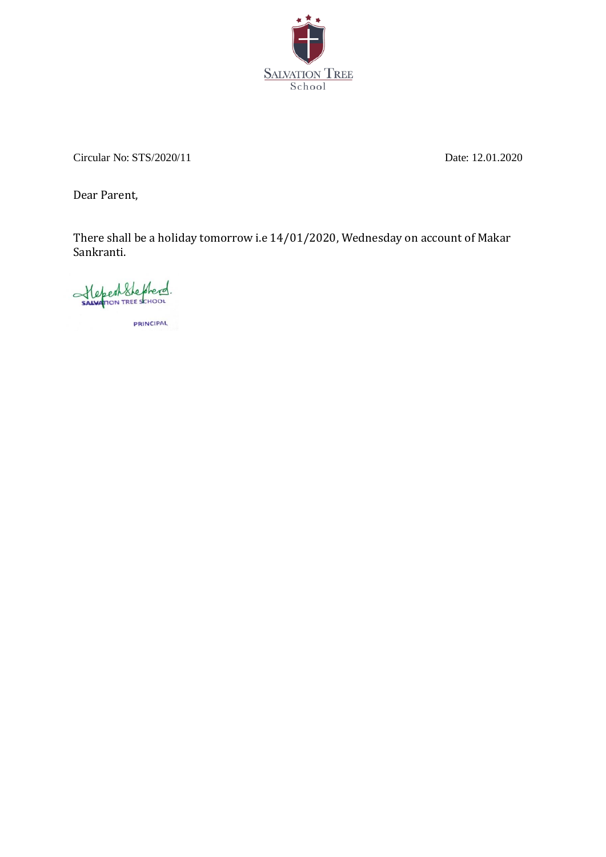

Circular No: STS/2020/11 Date: 12.01.2020

Dear Parent,

There shall be a holiday tomorrow i.e 14/01/2020, Wednesday on account of Makar Sankranti.

StepenShepherd. **PRINCIPAL**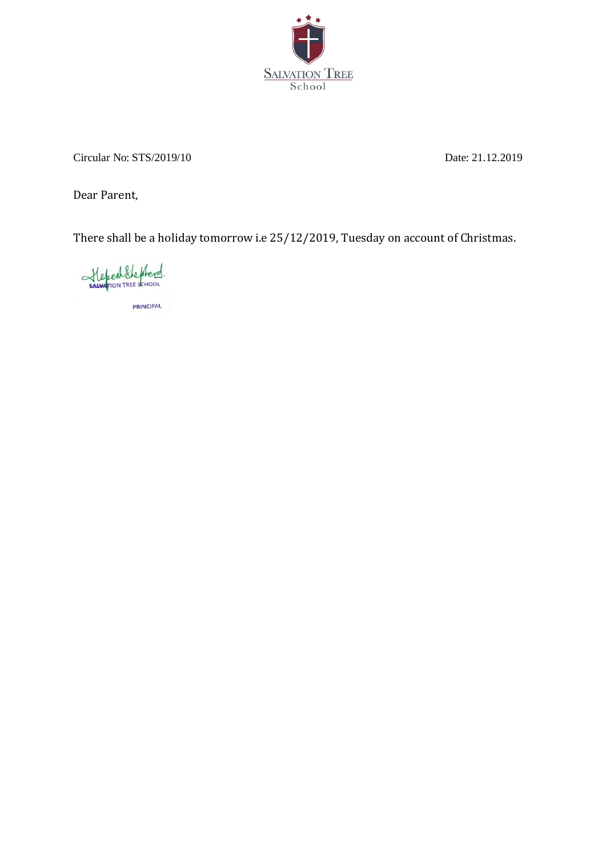

Circular No: STS/2019/10 Date: 21.12.2019

Dear Parent,

There shall be a holiday tomorrow i.e 25/12/2019, Tuesday on account of Christmas.

Sawfron TREE SCHOOL